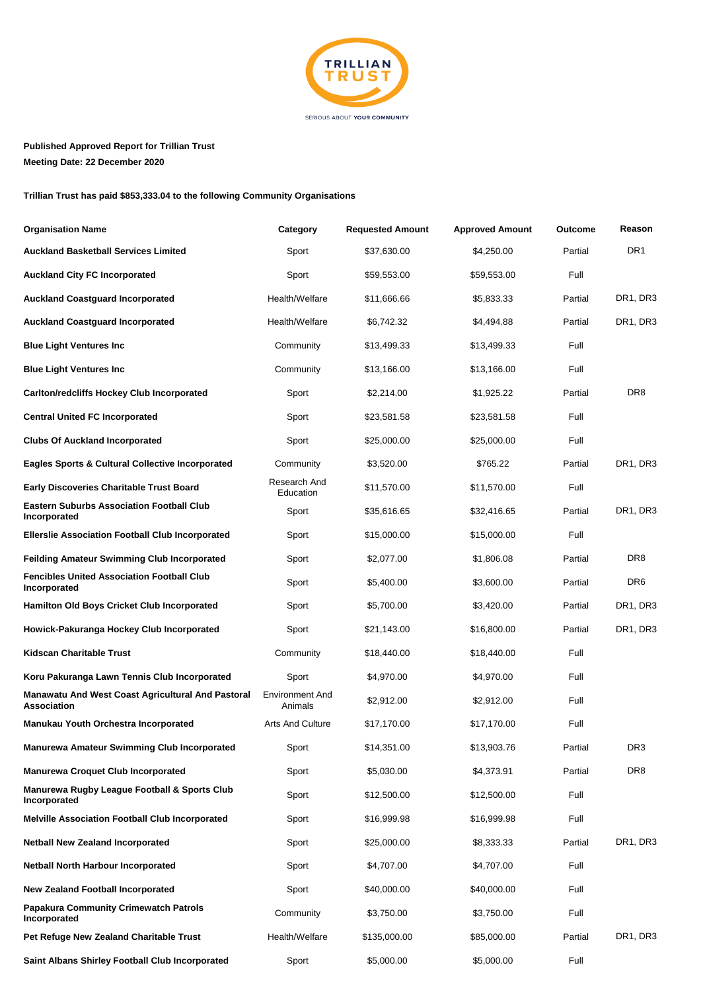

## **Published Approved Report for Trillian Trust Meeting Date: 22 December 2020**

**Trillian Trust has paid \$853,333.04 to the following Community Organisations**

| <b>Organisation Name</b>                                                | Category                          | <b>Requested Amount</b> | <b>Approved Amount</b> | Outcome | Reason                            |
|-------------------------------------------------------------------------|-----------------------------------|-------------------------|------------------------|---------|-----------------------------------|
| <b>Auckland Basketball Services Limited</b>                             | Sport                             | \$37,630.00             | \$4,250.00             | Partial | DR <sub>1</sub>                   |
| <b>Auckland City FC Incorporated</b>                                    | Sport                             | \$59,553.00             | \$59,553.00            | Full    |                                   |
| <b>Auckland Coastguard Incorporated</b>                                 | Health/Welfare                    | \$11,666.66             | \$5,833.33             | Partial | DR1, DR3                          |
| <b>Auckland Coastguard Incorporated</b>                                 | Health/Welfare                    | \$6,742.32              | \$4,494.88             | Partial | DR1, DR3                          |
| <b>Blue Light Ventures Inc</b>                                          | Community                         | \$13,499.33             | \$13,499.33            | Full    |                                   |
| <b>Blue Light Ventures Inc</b>                                          | Community                         | \$13,166.00             | \$13,166.00            | Full    |                                   |
| <b>Carlton/redcliffs Hockey Club Incorporated</b>                       | Sport                             | \$2,214.00              | \$1,925.22             | Partial | DR <sub>8</sub>                   |
| <b>Central United FC Incorporated</b>                                   | Sport                             | \$23,581.58             | \$23,581.58            | Full    |                                   |
| <b>Clubs Of Auckland Incorporated</b>                                   | Sport                             | \$25,000.00             | \$25,000.00            | Full    |                                   |
| Eagles Sports & Cultural Collective Incorporated                        | Community                         | \$3,520.00              | \$765.22               | Partial | DR1, DR3                          |
| <b>Early Discoveries Charitable Trust Board</b>                         | Research And<br>Education         | \$11,570.00             | \$11,570.00            | Full    |                                   |
| <b>Eastern Suburbs Association Football Club</b><br>Incorporated        | Sport                             | \$35,616.65             | \$32,416.65            | Partial | DR1, DR3                          |
| <b>Ellerslie Association Football Club Incorporated</b>                 | Sport                             | \$15,000.00             | \$15,000.00            | Full    |                                   |
| Feilding Amateur Swimming Club Incorporated                             | Sport                             | \$2,077.00              | \$1,806.08             | Partial | DR8                               |
| <b>Fencibles United Association Football Club</b><br>Incorporated       | Sport                             | \$5,400.00              | \$3,600.00             | Partial | DR6                               |
| Hamilton Old Boys Cricket Club Incorporated                             | Sport                             | \$5,700.00              | \$3,420.00             | Partial | DR <sub>1</sub> , DR <sub>3</sub> |
| Howick-Pakuranga Hockey Club Incorporated                               | Sport                             | \$21,143.00             | \$16,800.00            | Partial | DR1, DR3                          |
| <b>Kidscan Charitable Trust</b>                                         | Community                         | \$18,440.00             | \$18,440.00            | Full    |                                   |
| Koru Pakuranga Lawn Tennis Club Incorporated                            | Sport                             | \$4,970.00              | \$4,970.00             | Full    |                                   |
| Manawatu And West Coast Agricultural And Pastoral<br><b>Association</b> | <b>Environment And</b><br>Animals | \$2,912.00              | \$2,912.00             | Full    |                                   |
| Manukau Youth Orchestra Incorporated                                    | <b>Arts And Culture</b>           | \$17,170.00             | \$17,170.00            | Full    |                                   |
| Manurewa Amateur Swimming Club Incorporated                             | Sport                             | \$14,351.00             | \$13,903.76            | Partial | DR <sub>3</sub>                   |
| <b>Manurewa Croquet Club Incorporated</b>                               | Sport                             | \$5,030.00              | \$4,373.91             | Partial | DR8                               |
| Manurewa Rugby League Football & Sports Club<br>Incorporated            | Sport                             | \$12,500.00             | \$12,500.00            | Full    |                                   |
| <b>Melville Association Football Club Incorporated</b>                  | Sport                             | \$16,999.98             | \$16,999.98            | Full    |                                   |
| <b>Netball New Zealand Incorporated</b>                                 | Sport                             | \$25,000.00             | \$8,333.33             | Partial | DR1, DR3                          |
| <b>Netball North Harbour Incorporated</b>                               | Sport                             | \$4,707.00              | \$4,707.00             | Full    |                                   |
| <b>New Zealand Football Incorporated</b>                                | Sport                             | \$40,000.00             | \$40,000.00            | Full    |                                   |
| <b>Papakura Community Crimewatch Patrols</b><br>Incorporated            | Community                         | \$3,750.00              | \$3,750.00             | Full    |                                   |
| Pet Refuge New Zealand Charitable Trust                                 | Health/Welfare                    | \$135,000.00            | \$85,000.00            | Partial | DR1, DR3                          |
| Saint Albans Shirley Football Club Incorporated                         | Sport                             | \$5,000.00              | \$5,000.00             | Full    |                                   |